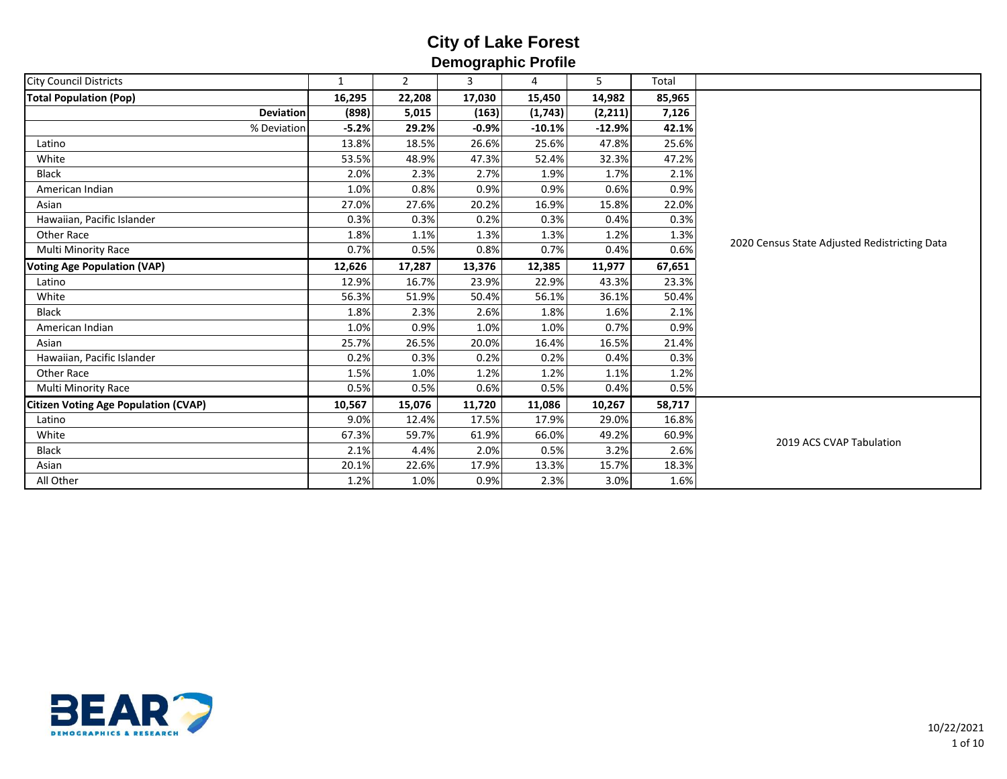| <b>City Council Districts</b>               | $\mathbf{1}$ | $2^{\circ}$ | $\overline{3}$ | 4        | 5        | Total  |                                               |
|---------------------------------------------|--------------|-------------|----------------|----------|----------|--------|-----------------------------------------------|
| <b>Total Population (Pop)</b>               | 16,295       | 22,208      | 17,030         | 15,450   | 14,982   | 85,965 |                                               |
| <b>Deviation</b>                            | (898)        | 5,015       | (163)          | (1,743)  | (2, 211) | 7,126  |                                               |
| % Deviation                                 | $-5.2%$      | 29.2%       | $-0.9%$        | $-10.1%$ | $-12.9%$ | 42.1%  |                                               |
| Latino                                      | 13.8%        | 18.5%       | 26.6%          | 25.6%    | 47.8%    | 25.6%  |                                               |
| White                                       | 53.5%        | 48.9%       | 47.3%          | 52.4%    | 32.3%    | 47.2%  |                                               |
| <b>Black</b>                                | 2.0%         | 2.3%        | 2.7%           | 1.9%     | 1.7%     | 2.1%   |                                               |
| American Indian                             | 1.0%         | 0.8%        | 0.9%           | 0.9%     | 0.6%     | 0.9%   |                                               |
| Asian                                       | 27.0%        | 27.6%       | 20.2%          | 16.9%    | 15.8%    | 22.0%  |                                               |
| Hawaiian, Pacific Islander                  | 0.3%         | 0.3%        | 0.2%           | 0.3%     | 0.4%     | 0.3%   |                                               |
| Other Race                                  | 1.8%         | 1.1%        | 1.3%           | 1.3%     | 1.2%     | 1.3%   | 2020 Census State Adjusted Redistricting Data |
| Multi Minority Race                         | 0.7%         | 0.5%        | 0.8%           | 0.7%     | 0.4%     | 0.6%   |                                               |
| <b>Voting Age Population (VAP)</b>          | 12,626       | 17,287      | 13,376         | 12,385   | 11,977   | 67,651 |                                               |
| Latino                                      | 12.9%        | 16.7%       | 23.9%          | 22.9%    | 43.3%    | 23.3%  |                                               |
| White                                       | 56.3%        | 51.9%       | 50.4%          | 56.1%    | 36.1%    | 50.4%  |                                               |
| <b>Black</b>                                | 1.8%         | 2.3%        | 2.6%           | 1.8%     | 1.6%     | 2.1%   |                                               |
| American Indian                             | 1.0%         | 0.9%        | 1.0%           | 1.0%     | 0.7%     | 0.9%   |                                               |
| Asian                                       | 25.7%        | 26.5%       | 20.0%          | 16.4%    | 16.5%    | 21.4%  |                                               |
| Hawaiian, Pacific Islander                  | 0.2%         | 0.3%        | 0.2%           | 0.2%     | 0.4%     | 0.3%   |                                               |
| Other Race                                  | 1.5%         | 1.0%        | 1.2%           | 1.2%     | 1.1%     | 1.2%   |                                               |
| <b>Multi Minority Race</b>                  | 0.5%         | 0.5%        | 0.6%           | 0.5%     | 0.4%     | 0.5%   |                                               |
| <b>Citizen Voting Age Population (CVAP)</b> | 10,567       | 15,076      | 11,720         | 11,086   | 10,267   | 58,717 |                                               |
| Latino                                      | 9.0%         | 12.4%       | 17.5%          | 17.9%    | 29.0%    | 16.8%  |                                               |
| White                                       | 67.3%        | 59.7%       | 61.9%          | 66.0%    | 49.2%    | 60.9%  |                                               |
| <b>Black</b>                                | 2.1%         | 4.4%        | 2.0%           | 0.5%     | 3.2%     | 2.6%   | 2019 ACS CVAP Tabulation                      |
| Asian                                       | 20.1%        | 22.6%       | 17.9%          | 13.3%    | 15.7%    | 18.3%  |                                               |
| All Other                                   | 1.2%         | 1.0%        | 0.9%           | 2.3%     | 3.0%     | 1.6%   |                                               |

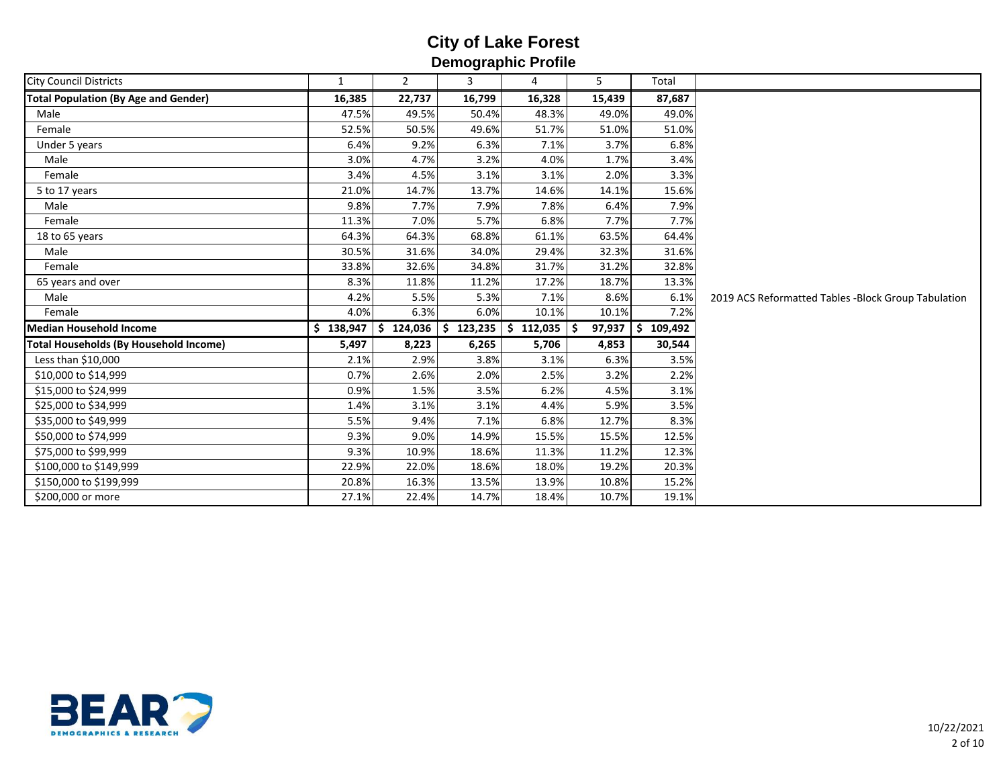| <b>City Council Districts</b>                 | $\mathbf{1}$ | $\overline{2}$ | 3            | 4             | 5           | Total         |                                                     |
|-----------------------------------------------|--------------|----------------|--------------|---------------|-------------|---------------|-----------------------------------------------------|
| <b>Total Population (By Age and Gender)</b>   | 16,385       | 22,737         | 16,799       | 16,328        | 15,439      | 87,687        |                                                     |
| Male                                          | 47.5%        | 49.5%          | 50.4%        | 48.3%         | 49.0%       | 49.0%         |                                                     |
| Female                                        | 52.5%        | 50.5%          | 49.6%        | 51.7%         | 51.0%       | 51.0%         |                                                     |
| Under 5 years                                 | 6.4%         | 9.2%           | 6.3%         | 7.1%          | 3.7%        | 6.8%          |                                                     |
| Male                                          | 3.0%         | 4.7%           | 3.2%         | 4.0%          | 1.7%        | 3.4%          |                                                     |
| Female                                        | 3.4%         | 4.5%           | 3.1%         | 3.1%          | 2.0%        | 3.3%          |                                                     |
| 5 to 17 years                                 | 21.0%        | 14.7%          | 13.7%        | 14.6%         | 14.1%       | 15.6%         |                                                     |
| Male                                          | 9.8%         | 7.7%           | 7.9%         | 7.8%          | 6.4%        | 7.9%          |                                                     |
| Female                                        | 11.3%        | 7.0%           | 5.7%         | 6.8%          | 7.7%        | 7.7%          |                                                     |
| 18 to 65 years                                | 64.3%        | 64.3%          | 68.8%        | 61.1%         | 63.5%       | 64.4%         |                                                     |
| Male                                          | 30.5%        | 31.6%          | 34.0%        | 29.4%         | 32.3%       | 31.6%         |                                                     |
| Female                                        | 33.8%        | 32.6%          | 34.8%        | 31.7%         | 31.2%       | 32.8%         |                                                     |
| 65 years and over                             | 8.3%         | 11.8%          | 11.2%        | 17.2%         | 18.7%       | 13.3%         |                                                     |
| Male                                          | 4.2%         | 5.5%           | 5.3%         | 7.1%          | 8.6%        | 6.1%          | 2019 ACS Reformatted Tables -Block Group Tabulation |
| Female                                        | 4.0%         | 6.3%           | 6.0%         | 10.1%         | 10.1%       | 7.2%          |                                                     |
| Median Household Income                       | \$138,947    | 124,036<br>-S  | 123,235<br>Ś | 112,035<br>Š. | 97,937<br>Ŝ | 109,492<br>S. |                                                     |
| <b>Total Households (By Household Income)</b> | 5,497        | 8,223          | 6,265        | 5,706         | 4,853       | 30,544        |                                                     |
| Less than \$10,000                            | 2.1%         | 2.9%           | 3.8%         | 3.1%          | 6.3%        | 3.5%          |                                                     |
| \$10,000 to \$14,999                          | 0.7%         | 2.6%           | 2.0%         | 2.5%          | 3.2%        | 2.2%          |                                                     |
| \$15,000 to \$24,999                          | 0.9%         | 1.5%           | 3.5%         | 6.2%          | 4.5%        | 3.1%          |                                                     |
| \$25,000 to \$34,999                          | 1.4%         | 3.1%           | 3.1%         | 4.4%          | 5.9%        | 3.5%          |                                                     |
| \$35,000 to \$49,999                          | 5.5%         | 9.4%           | 7.1%         | 6.8%          | 12.7%       | 8.3%          |                                                     |
| \$50,000 to \$74,999                          | 9.3%         | 9.0%           | 14.9%        | 15.5%         | 15.5%       | 12.5%         |                                                     |
| \$75,000 to \$99,999                          | 9.3%         | 10.9%          | 18.6%        | 11.3%         | 11.2%       | 12.3%         |                                                     |
| \$100,000 to \$149,999                        | 22.9%        | 22.0%          | 18.6%        | 18.0%         | 19.2%       | 20.3%         |                                                     |
| \$150,000 to \$199,999                        | 20.8%        | 16.3%          | 13.5%        | 13.9%         | 10.8%       | 15.2%         |                                                     |
| \$200,000 or more                             | 27.1%        | 22.4%          | 14.7%        | 18.4%         | 10.7%       | 19.1%         |                                                     |

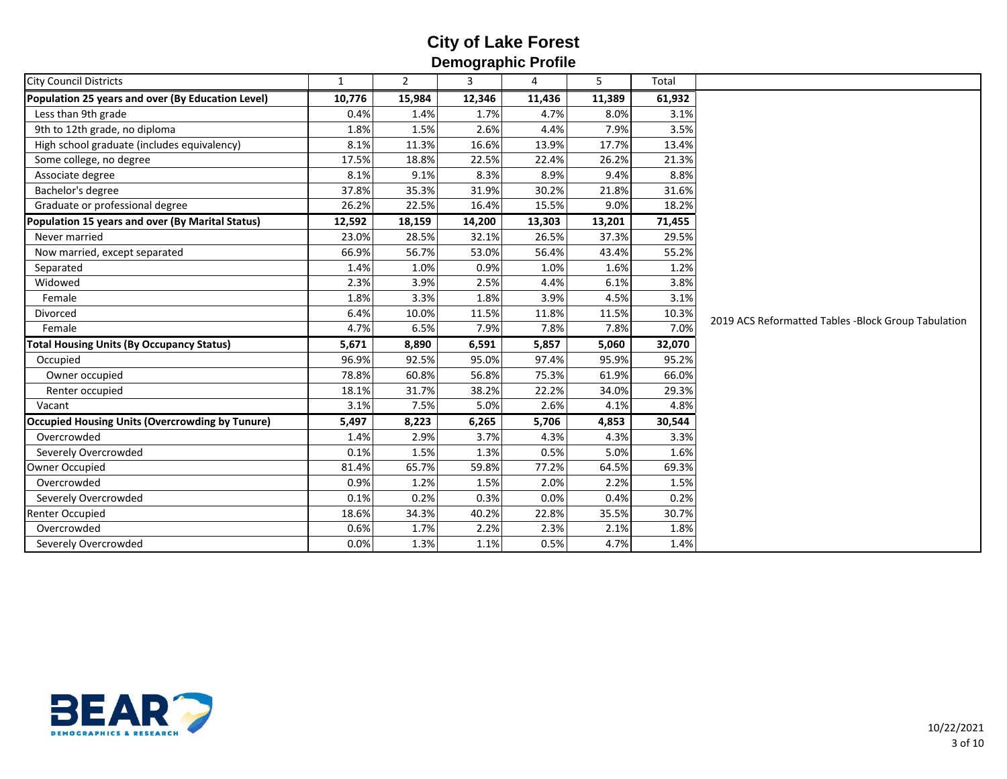| <b>City Council Districts</b><br>$\overline{2}$<br>3<br>4<br>5<br>Total<br>$\mathbf{1}$<br>Population 25 years and over (By Education Level)<br>61,932<br>10,776<br>15,984<br>12,346<br>11,436<br>11,389<br>3.1%<br>Less than 9th grade<br>0.4%<br>1.7%<br>4.7%<br>8.0%<br>1.4%<br>9th to 12th grade, no diploma<br>2.6%<br>4.4%<br>7.9%<br>3.5%<br>1.8%<br>1.5%<br>High school graduate (includes equivalency)<br>11.3%<br>16.6%<br>13.9%<br>17.7%<br>8.1%<br>13.4%<br>22.5%<br>26.2%<br>21.3%<br>Some college, no degree<br>17.5%<br>18.8%<br>22.4%<br>8.9%<br>Associate degree<br>8.1%<br>9.1%<br>8.3%<br>9.4%<br>8.8%<br>Bachelor's degree<br>37.8%<br>35.3%<br>31.9%<br>30.2%<br>31.6%<br>21.8%<br>18.2%<br>Graduate or professional degree<br>26.2%<br>22.5%<br>16.4%<br>15.5%<br>9.0%<br>Population 15 years and over (By Marital Status)<br>13,201<br>71,455<br>12,592<br>18,159<br>14,200<br>13,303<br>26.5%<br>37.3%<br>23.0%<br>28.5%<br>32.1%<br>29.5%<br>Never married<br>56.7%<br>55.2%<br>66.9%<br>53.0%<br>56.4%<br>43.4%<br>Now married, except separated<br>0.9%<br>1.0%<br>1.2%<br>1.4%<br>1.0%<br>1.6%<br>Separated<br>3.9%<br>2.3%<br>2.5%<br>4.4%<br>6.1%<br>3.8%<br>Widowed<br>1.8%<br>3.3%<br>1.8%<br>3.9%<br>4.5%<br>3.1%<br>Female<br>11.8%<br>6.4%<br>10.0%<br>11.5%<br>11.5%<br>10.3%<br><b>Divorced</b><br>7.8%<br>7.0%<br>Female<br>4.7%<br>6.5%<br>7.9%<br>7.8%<br>6,591<br>5,857<br>5,060<br>32,070<br><b>Total Housing Units (By Occupancy Status)</b><br>5,671<br>8,890<br>Occupied<br>96.9%<br>92.5%<br>95.0%<br>97.4%<br>95.9%<br>95.2%<br>56.8%<br>66.0%<br>Owner occupied<br>78.8%<br>60.8%<br>75.3%<br>61.9%<br>38.2%<br>22.2%<br>34.0%<br>29.3%<br>Renter occupied<br>18.1%<br>31.7%<br>7.5%<br>2.6%<br>4.8%<br>3.1%<br>5.0%<br>Vacant<br>4.1%<br><b>Occupied Housing Units (Overcrowding by Tunure)</b><br>5,497<br>8,223<br>6,265<br>5,706<br>4,853<br>30,544 |  |  |  |  |                                                     |
|---------------------------------------------------------------------------------------------------------------------------------------------------------------------------------------------------------------------------------------------------------------------------------------------------------------------------------------------------------------------------------------------------------------------------------------------------------------------------------------------------------------------------------------------------------------------------------------------------------------------------------------------------------------------------------------------------------------------------------------------------------------------------------------------------------------------------------------------------------------------------------------------------------------------------------------------------------------------------------------------------------------------------------------------------------------------------------------------------------------------------------------------------------------------------------------------------------------------------------------------------------------------------------------------------------------------------------------------------------------------------------------------------------------------------------------------------------------------------------------------------------------------------------------------------------------------------------------------------------------------------------------------------------------------------------------------------------------------------------------------------------------------------------------------------------------------------------------------------------------------------------------------------------|--|--|--|--|-----------------------------------------------------|
|                                                                                                                                                                                                                                                                                                                                                                                                                                                                                                                                                                                                                                                                                                                                                                                                                                                                                                                                                                                                                                                                                                                                                                                                                                                                                                                                                                                                                                                                                                                                                                                                                                                                                                                                                                                                                                                                                                         |  |  |  |  |                                                     |
|                                                                                                                                                                                                                                                                                                                                                                                                                                                                                                                                                                                                                                                                                                                                                                                                                                                                                                                                                                                                                                                                                                                                                                                                                                                                                                                                                                                                                                                                                                                                                                                                                                                                                                                                                                                                                                                                                                         |  |  |  |  |                                                     |
|                                                                                                                                                                                                                                                                                                                                                                                                                                                                                                                                                                                                                                                                                                                                                                                                                                                                                                                                                                                                                                                                                                                                                                                                                                                                                                                                                                                                                                                                                                                                                                                                                                                                                                                                                                                                                                                                                                         |  |  |  |  |                                                     |
|                                                                                                                                                                                                                                                                                                                                                                                                                                                                                                                                                                                                                                                                                                                                                                                                                                                                                                                                                                                                                                                                                                                                                                                                                                                                                                                                                                                                                                                                                                                                                                                                                                                                                                                                                                                                                                                                                                         |  |  |  |  |                                                     |
|                                                                                                                                                                                                                                                                                                                                                                                                                                                                                                                                                                                                                                                                                                                                                                                                                                                                                                                                                                                                                                                                                                                                                                                                                                                                                                                                                                                                                                                                                                                                                                                                                                                                                                                                                                                                                                                                                                         |  |  |  |  |                                                     |
|                                                                                                                                                                                                                                                                                                                                                                                                                                                                                                                                                                                                                                                                                                                                                                                                                                                                                                                                                                                                                                                                                                                                                                                                                                                                                                                                                                                                                                                                                                                                                                                                                                                                                                                                                                                                                                                                                                         |  |  |  |  |                                                     |
|                                                                                                                                                                                                                                                                                                                                                                                                                                                                                                                                                                                                                                                                                                                                                                                                                                                                                                                                                                                                                                                                                                                                                                                                                                                                                                                                                                                                                                                                                                                                                                                                                                                                                                                                                                                                                                                                                                         |  |  |  |  |                                                     |
|                                                                                                                                                                                                                                                                                                                                                                                                                                                                                                                                                                                                                                                                                                                                                                                                                                                                                                                                                                                                                                                                                                                                                                                                                                                                                                                                                                                                                                                                                                                                                                                                                                                                                                                                                                                                                                                                                                         |  |  |  |  |                                                     |
|                                                                                                                                                                                                                                                                                                                                                                                                                                                                                                                                                                                                                                                                                                                                                                                                                                                                                                                                                                                                                                                                                                                                                                                                                                                                                                                                                                                                                                                                                                                                                                                                                                                                                                                                                                                                                                                                                                         |  |  |  |  |                                                     |
|                                                                                                                                                                                                                                                                                                                                                                                                                                                                                                                                                                                                                                                                                                                                                                                                                                                                                                                                                                                                                                                                                                                                                                                                                                                                                                                                                                                                                                                                                                                                                                                                                                                                                                                                                                                                                                                                                                         |  |  |  |  |                                                     |
|                                                                                                                                                                                                                                                                                                                                                                                                                                                                                                                                                                                                                                                                                                                                                                                                                                                                                                                                                                                                                                                                                                                                                                                                                                                                                                                                                                                                                                                                                                                                                                                                                                                                                                                                                                                                                                                                                                         |  |  |  |  |                                                     |
|                                                                                                                                                                                                                                                                                                                                                                                                                                                                                                                                                                                                                                                                                                                                                                                                                                                                                                                                                                                                                                                                                                                                                                                                                                                                                                                                                                                                                                                                                                                                                                                                                                                                                                                                                                                                                                                                                                         |  |  |  |  |                                                     |
|                                                                                                                                                                                                                                                                                                                                                                                                                                                                                                                                                                                                                                                                                                                                                                                                                                                                                                                                                                                                                                                                                                                                                                                                                                                                                                                                                                                                                                                                                                                                                                                                                                                                                                                                                                                                                                                                                                         |  |  |  |  |                                                     |
|                                                                                                                                                                                                                                                                                                                                                                                                                                                                                                                                                                                                                                                                                                                                                                                                                                                                                                                                                                                                                                                                                                                                                                                                                                                                                                                                                                                                                                                                                                                                                                                                                                                                                                                                                                                                                                                                                                         |  |  |  |  | 2019 ACS Reformatted Tables -Block Group Tabulation |
|                                                                                                                                                                                                                                                                                                                                                                                                                                                                                                                                                                                                                                                                                                                                                                                                                                                                                                                                                                                                                                                                                                                                                                                                                                                                                                                                                                                                                                                                                                                                                                                                                                                                                                                                                                                                                                                                                                         |  |  |  |  |                                                     |
|                                                                                                                                                                                                                                                                                                                                                                                                                                                                                                                                                                                                                                                                                                                                                                                                                                                                                                                                                                                                                                                                                                                                                                                                                                                                                                                                                                                                                                                                                                                                                                                                                                                                                                                                                                                                                                                                                                         |  |  |  |  |                                                     |
|                                                                                                                                                                                                                                                                                                                                                                                                                                                                                                                                                                                                                                                                                                                                                                                                                                                                                                                                                                                                                                                                                                                                                                                                                                                                                                                                                                                                                                                                                                                                                                                                                                                                                                                                                                                                                                                                                                         |  |  |  |  |                                                     |
|                                                                                                                                                                                                                                                                                                                                                                                                                                                                                                                                                                                                                                                                                                                                                                                                                                                                                                                                                                                                                                                                                                                                                                                                                                                                                                                                                                                                                                                                                                                                                                                                                                                                                                                                                                                                                                                                                                         |  |  |  |  |                                                     |
|                                                                                                                                                                                                                                                                                                                                                                                                                                                                                                                                                                                                                                                                                                                                                                                                                                                                                                                                                                                                                                                                                                                                                                                                                                                                                                                                                                                                                                                                                                                                                                                                                                                                                                                                                                                                                                                                                                         |  |  |  |  |                                                     |
|                                                                                                                                                                                                                                                                                                                                                                                                                                                                                                                                                                                                                                                                                                                                                                                                                                                                                                                                                                                                                                                                                                                                                                                                                                                                                                                                                                                                                                                                                                                                                                                                                                                                                                                                                                                                                                                                                                         |  |  |  |  |                                                     |
|                                                                                                                                                                                                                                                                                                                                                                                                                                                                                                                                                                                                                                                                                                                                                                                                                                                                                                                                                                                                                                                                                                                                                                                                                                                                                                                                                                                                                                                                                                                                                                                                                                                                                                                                                                                                                                                                                                         |  |  |  |  |                                                     |
|                                                                                                                                                                                                                                                                                                                                                                                                                                                                                                                                                                                                                                                                                                                                                                                                                                                                                                                                                                                                                                                                                                                                                                                                                                                                                                                                                                                                                                                                                                                                                                                                                                                                                                                                                                                                                                                                                                         |  |  |  |  |                                                     |
|                                                                                                                                                                                                                                                                                                                                                                                                                                                                                                                                                                                                                                                                                                                                                                                                                                                                                                                                                                                                                                                                                                                                                                                                                                                                                                                                                                                                                                                                                                                                                                                                                                                                                                                                                                                                                                                                                                         |  |  |  |  |                                                     |
| Overcrowded<br>2.9%<br>3.7%<br>4.3%<br>3.3%<br>1.4%<br>4.3%                                                                                                                                                                                                                                                                                                                                                                                                                                                                                                                                                                                                                                                                                                                                                                                                                                                                                                                                                                                                                                                                                                                                                                                                                                                                                                                                                                                                                                                                                                                                                                                                                                                                                                                                                                                                                                             |  |  |  |  |                                                     |
| 0.1%<br>1.5%<br>1.3%<br>0.5%<br>5.0%<br>1.6%<br>Severely Overcrowded                                                                                                                                                                                                                                                                                                                                                                                                                                                                                                                                                                                                                                                                                                                                                                                                                                                                                                                                                                                                                                                                                                                                                                                                                                                                                                                                                                                                                                                                                                                                                                                                                                                                                                                                                                                                                                    |  |  |  |  |                                                     |
| 65.7%<br>59.8%<br>77.2%<br>64.5%<br>69.3%<br><b>Owner Occupied</b><br>81.4%                                                                                                                                                                                                                                                                                                                                                                                                                                                                                                                                                                                                                                                                                                                                                                                                                                                                                                                                                                                                                                                                                                                                                                                                                                                                                                                                                                                                                                                                                                                                                                                                                                                                                                                                                                                                                             |  |  |  |  |                                                     |
| Overcrowded<br>2.0%<br>2.2%<br>0.9%<br>1.2%<br>1.5%<br>1.5%                                                                                                                                                                                                                                                                                                                                                                                                                                                                                                                                                                                                                                                                                                                                                                                                                                                                                                                                                                                                                                                                                                                                                                                                                                                                                                                                                                                                                                                                                                                                                                                                                                                                                                                                                                                                                                             |  |  |  |  |                                                     |
| 0.0%<br>Severely Overcrowded<br>0.1%<br>0.2%<br>0.3%<br>0.4%<br>0.2%                                                                                                                                                                                                                                                                                                                                                                                                                                                                                                                                                                                                                                                                                                                                                                                                                                                                                                                                                                                                                                                                                                                                                                                                                                                                                                                                                                                                                                                                                                                                                                                                                                                                                                                                                                                                                                    |  |  |  |  |                                                     |
| 40.2%<br>30.7%<br><b>Renter Occupied</b><br>18.6%<br>34.3%<br>22.8%<br>35.5%                                                                                                                                                                                                                                                                                                                                                                                                                                                                                                                                                                                                                                                                                                                                                                                                                                                                                                                                                                                                                                                                                                                                                                                                                                                                                                                                                                                                                                                                                                                                                                                                                                                                                                                                                                                                                            |  |  |  |  |                                                     |
| Overcrowded<br>2.2%<br>2.3%<br>2.1%<br>0.6%<br>1.7%<br>1.8%                                                                                                                                                                                                                                                                                                                                                                                                                                                                                                                                                                                                                                                                                                                                                                                                                                                                                                                                                                                                                                                                                                                                                                                                                                                                                                                                                                                                                                                                                                                                                                                                                                                                                                                                                                                                                                             |  |  |  |  |                                                     |
| Severely Overcrowded<br>1.3%<br>0.5%<br>1.4%<br>0.0%<br>1.1%<br>4.7%                                                                                                                                                                                                                                                                                                                                                                                                                                                                                                                                                                                                                                                                                                                                                                                                                                                                                                                                                                                                                                                                                                                                                                                                                                                                                                                                                                                                                                                                                                                                                                                                                                                                                                                                                                                                                                    |  |  |  |  |                                                     |

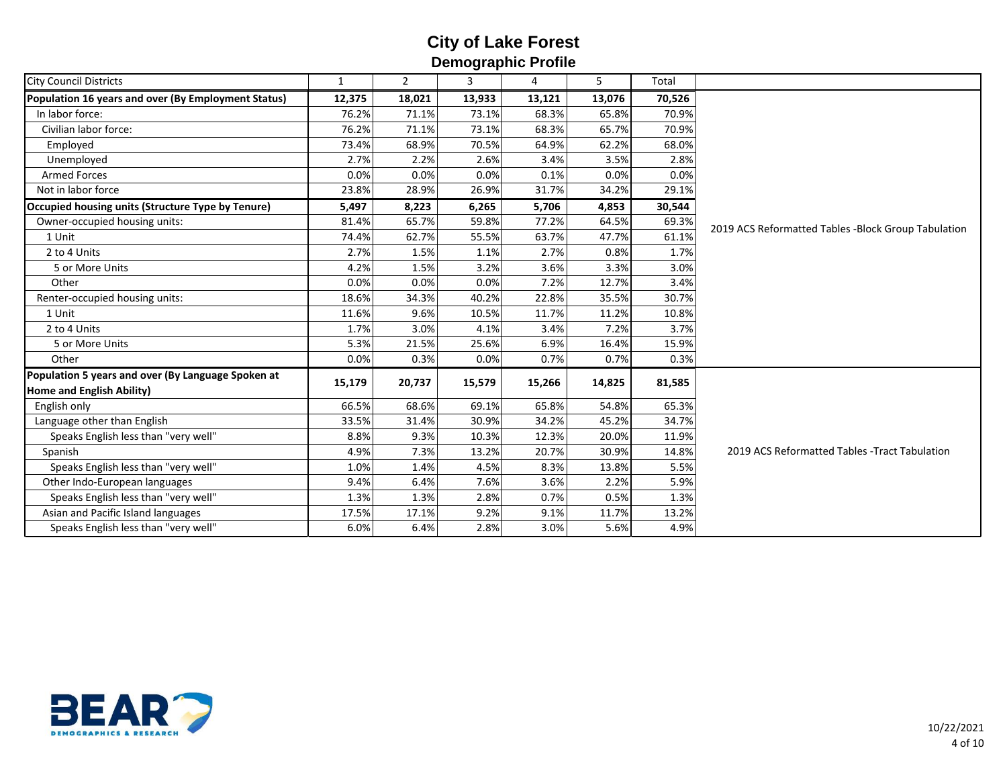| <b>City Council Districts</b>                       | $\mathbf{1}$ | $\overline{2}$ | 3      | 4      | 5      | Total  |                                                     |
|-----------------------------------------------------|--------------|----------------|--------|--------|--------|--------|-----------------------------------------------------|
| Population 16 years and over (By Employment Status) | 12,375       | 18,021         | 13,933 | 13,121 | 13,076 | 70,526 |                                                     |
| In labor force:                                     | 76.2%        | 71.1%          | 73.1%  | 68.3%  | 65.8%  | 70.9%  |                                                     |
| Civilian labor force:                               | 76.2%        | 71.1%          | 73.1%  | 68.3%  | 65.7%  | 70.9%  |                                                     |
| Employed                                            | 73.4%        | 68.9%          | 70.5%  | 64.9%  | 62.2%  | 68.0%  |                                                     |
| Unemployed                                          | 2.7%         | 2.2%           | 2.6%   | 3.4%   | 3.5%   | 2.8%   |                                                     |
| <b>Armed Forces</b>                                 | 0.0%         | 0.0%           | 0.0%   | 0.1%   | 0.0%   | 0.0%   |                                                     |
| Not in labor force                                  | 23.8%        | 28.9%          | 26.9%  | 31.7%  | 34.2%  | 29.1%  |                                                     |
|                                                     |              |                |        |        |        |        |                                                     |
| Occupied housing units (Structure Type by Tenure)   | 5,497        | 8,223          | 6,265  | 5,706  | 4,853  | 30,544 |                                                     |
| Owner-occupied housing units:                       | 81.4%        | 65.7%          | 59.8%  | 77.2%  | 64.5%  | 69.3%  | 2019 ACS Reformatted Tables -Block Group Tabulation |
| 1 Unit                                              | 74.4%        | 62.7%          | 55.5%  | 63.7%  | 47.7%  | 61.1%  |                                                     |
| 2 to 4 Units                                        | 2.7%         | 1.5%           | 1.1%   | 2.7%   | 0.8%   | 1.7%   |                                                     |
| 5 or More Units                                     | 4.2%         | 1.5%           | 3.2%   | 3.6%   | 3.3%   | 3.0%   |                                                     |
| Other                                               | 0.0%         | 0.0%           | 0.0%   | 7.2%   | 12.7%  | 3.4%   |                                                     |
| Renter-occupied housing units:                      | 18.6%        | 34.3%          | 40.2%  | 22.8%  | 35.5%  | 30.7%  |                                                     |
| 1 Unit                                              | 11.6%        | 9.6%           | 10.5%  | 11.7%  | 11.2%  | 10.8%  |                                                     |
| 2 to 4 Units                                        | 1.7%         | 3.0%           | 4.1%   | 3.4%   | 7.2%   | 3.7%   |                                                     |
| 5 or More Units                                     | 5.3%         | 21.5%          | 25.6%  | 6.9%   | 16.4%  | 15.9%  |                                                     |
| Other                                               | 0.0%         | 0.3%           | 0.0%   | 0.7%   | 0.7%   | 0.3%   |                                                     |
| Population 5 years and over (By Language Spoken at  | 15,179       | 20,737         | 15,579 | 15,266 | 14,825 | 81,585 |                                                     |
| Home and English Ability)                           |              |                |        |        |        |        |                                                     |
| English only                                        | 66.5%        | 68.6%          | 69.1%  | 65.8%  | 54.8%  | 65.3%  |                                                     |
| Language other than English                         | 33.5%        | 31.4%          | 30.9%  | 34.2%  | 45.2%  | 34.7%  | 2019 ACS Reformatted Tables - Tract Tabulation      |
| Speaks English less than "very well"                | 8.8%         | 9.3%           | 10.3%  | 12.3%  | 20.0%  | 11.9%  |                                                     |
| Spanish                                             | 4.9%         | 7.3%           | 13.2%  | 20.7%  | 30.9%  | 14.8%  |                                                     |
| Speaks English less than "very well"                | 1.0%         | 1.4%           | 4.5%   | 8.3%   | 13.8%  | 5.5%   |                                                     |
| Other Indo-European languages                       | 9.4%         | 6.4%           | 7.6%   | 3.6%   | 2.2%   | 5.9%   |                                                     |
| Speaks English less than "very well"                | 1.3%         | 1.3%           | 2.8%   | 0.7%   | 0.5%   | 1.3%   |                                                     |
| Asian and Pacific Island languages                  | 17.5%        | 17.1%          | 9.2%   | 9.1%   | 11.7%  | 13.2%  |                                                     |
| Speaks English less than "very well"                | 6.0%         | 6.4%           | 2.8%   | 3.0%   | 5.6%   | 4.9%   |                                                     |

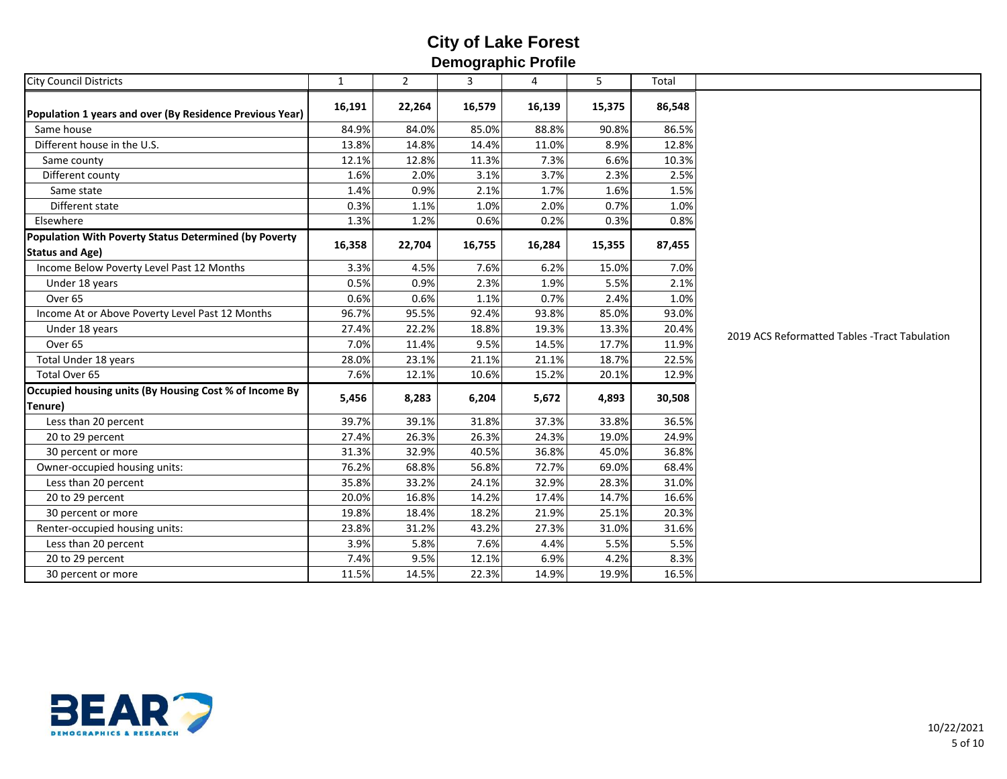| <b>City Council Districts</b>                                                   | $\mathbf{1}$ | $\overline{2}$ | 3      | 4      | 5      | Total  |                                                |
|---------------------------------------------------------------------------------|--------------|----------------|--------|--------|--------|--------|------------------------------------------------|
| Population 1 years and over (By Residence Previous Year)                        | 16,191       | 22,264         | 16,579 | 16,139 | 15,375 | 86,548 |                                                |
| Same house                                                                      | 84.9%        | 84.0%          | 85.0%  | 88.8%  | 90.8%  | 86.5%  |                                                |
| Different house in the U.S.                                                     | 13.8%        | 14.8%          | 14.4%  | 11.0%  | 8.9%   | 12.8%  |                                                |
| Same county                                                                     | 12.1%        | 12.8%          | 11.3%  | 7.3%   | 6.6%   | 10.3%  |                                                |
| Different county                                                                | 1.6%         | 2.0%           | 3.1%   | 3.7%   | 2.3%   | 2.5%   |                                                |
| Same state                                                                      | 1.4%         | 0.9%           | 2.1%   | 1.7%   | 1.6%   | 1.5%   |                                                |
| Different state                                                                 | 0.3%         | 1.1%           | 1.0%   | 2.0%   | 0.7%   | 1.0%   |                                                |
| Elsewhere                                                                       | 1.3%         | 1.2%           | 0.6%   | 0.2%   | 0.3%   | 0.8%   |                                                |
| Population With Poverty Status Determined (by Poverty<br><b>Status and Age)</b> | 16,358       | 22,704         | 16,755 | 16,284 | 15,355 | 87,455 |                                                |
| Income Below Poverty Level Past 12 Months                                       | 3.3%         | 4.5%           | 7.6%   | 6.2%   | 15.0%  | 7.0%   |                                                |
| Under 18 years                                                                  | 0.5%         | 0.9%           | 2.3%   | 1.9%   | 5.5%   | 2.1%   |                                                |
| Over <sub>65</sub>                                                              | 0.6%         | 0.6%           | 1.1%   | 0.7%   | 2.4%   | 1.0%   | 2019 ACS Reformatted Tables - Tract Tabulation |
| Income At or Above Poverty Level Past 12 Months                                 | 96.7%        | 95.5%          | 92.4%  | 93.8%  | 85.0%  | 93.0%  |                                                |
| Under 18 years                                                                  | 27.4%        | 22.2%          | 18.8%  | 19.3%  | 13.3%  | 20.4%  |                                                |
| Over <sub>65</sub>                                                              | 7.0%         | 11.4%          | 9.5%   | 14.5%  | 17.7%  | 11.9%  |                                                |
| Total Under 18 years                                                            | 28.0%        | 23.1%          | 21.1%  | 21.1%  | 18.7%  | 22.5%  |                                                |
| Total Over 65                                                                   | 7.6%         | 12.1%          | 10.6%  | 15.2%  | 20.1%  | 12.9%  |                                                |
| Occupied housing units (By Housing Cost % of Income By<br>Tenure)               | 5,456        | 8,283          | 6,204  | 5,672  | 4,893  | 30,508 |                                                |
| Less than 20 percent                                                            | 39.7%        | 39.1%          | 31.8%  | 37.3%  | 33.8%  | 36.5%  |                                                |
| 20 to 29 percent                                                                | 27.4%        | 26.3%          | 26.3%  | 24.3%  | 19.0%  | 24.9%  |                                                |
| 30 percent or more                                                              | 31.3%        | 32.9%          | 40.5%  | 36.8%  | 45.0%  | 36.8%  |                                                |
| Owner-occupied housing units:                                                   | 76.2%        | 68.8%          | 56.8%  | 72.7%  | 69.0%  | 68.4%  |                                                |
| Less than 20 percent                                                            | 35.8%        | 33.2%          | 24.1%  | 32.9%  | 28.3%  | 31.0%  |                                                |
| 20 to 29 percent                                                                | 20.0%        | 16.8%          | 14.2%  | 17.4%  | 14.7%  | 16.6%  |                                                |
| 30 percent or more                                                              | 19.8%        | 18.4%          | 18.2%  | 21.9%  | 25.1%  | 20.3%  |                                                |
| Renter-occupied housing units:                                                  | 23.8%        | 31.2%          | 43.2%  | 27.3%  | 31.0%  | 31.6%  |                                                |
| Less than 20 percent                                                            | 3.9%         | 5.8%           | 7.6%   | 4.4%   | 5.5%   | 5.5%   |                                                |
| 20 to 29 percent                                                                | 7.4%         | 9.5%           | 12.1%  | 6.9%   | 4.2%   | 8.3%   |                                                |
| 30 percent or more                                                              | 11.5%        | 14.5%          | 22.3%  | 14.9%  | 19.9%  | 16.5%  |                                                |

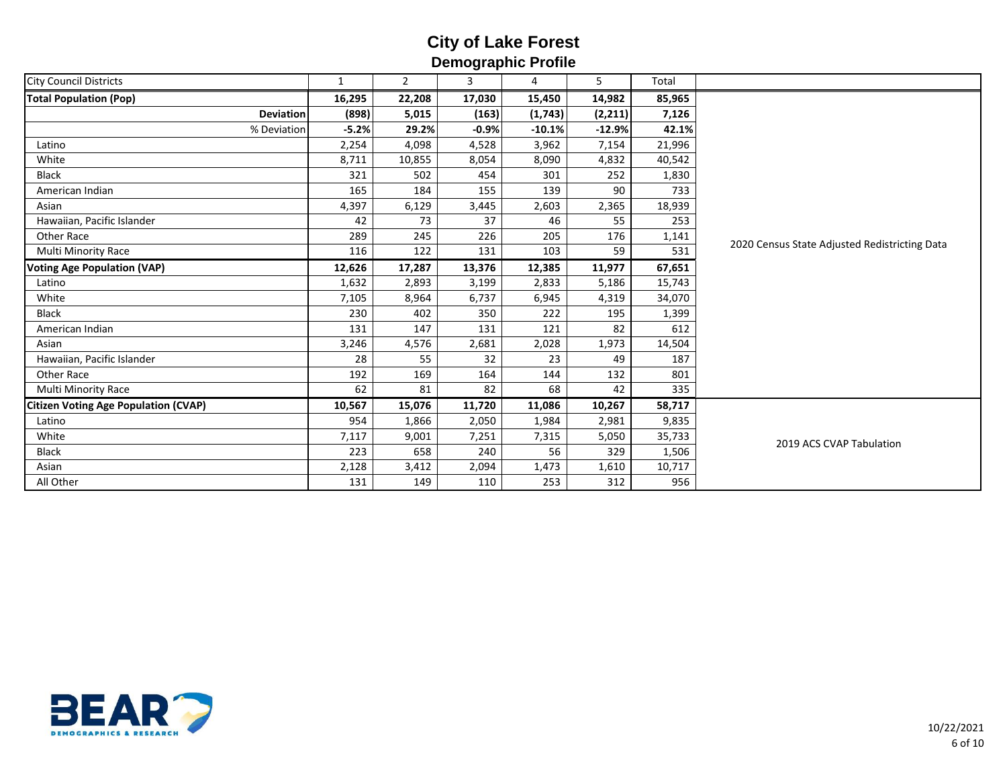| <b>City Council Districts</b>               | $\mathbf{1}$ | $\mathbf{2}$ | 3       | - ---- <b>-</b> ------ - - -----<br>4 | 5        | Total  |                                               |
|---------------------------------------------|--------------|--------------|---------|---------------------------------------|----------|--------|-----------------------------------------------|
| <b>Total Population (Pop)</b>               | 16,295       | 22,208       | 17,030  | 15,450                                | 14,982   | 85,965 |                                               |
| <b>Deviation</b>                            | (898)        | 5,015        | (163)   | (1, 743)                              | (2, 211) | 7,126  |                                               |
| % Deviation                                 | $-5.2%$      | 29.2%        | $-0.9%$ | $-10.1%$                              | $-12.9%$ | 42.1%  |                                               |
| Latino                                      | 2,254        | 4,098        | 4,528   | 3,962                                 | 7,154    | 21,996 |                                               |
| White                                       | 8,711        | 10,855       | 8,054   | 8,090                                 | 4,832    | 40,542 |                                               |
| <b>Black</b>                                | 321          | 502          | 454     | 301                                   | 252      | 1,830  |                                               |
| American Indian                             | 165          | 184          | 155     | 139                                   | 90       | 733    |                                               |
| Asian                                       | 4,397        | 6,129        | 3,445   | 2,603                                 | 2,365    | 18,939 |                                               |
| Hawaiian, Pacific Islander                  | 42           | 73           | 37      | 46                                    | 55       | 253    |                                               |
| Other Race                                  | 289          | 245          | 226     | 205                                   | 176      | 1,141  | 2020 Census State Adjusted Redistricting Data |
| Multi Minority Race                         | 116          | 122          | 131     | 103                                   | 59       | 531    |                                               |
| <b>Voting Age Population (VAP)</b>          | 12,626       | 17,287       | 13,376  | 12,385                                | 11,977   | 67,651 |                                               |
| Latino                                      | 1,632        | 2,893        | 3,199   | 2,833                                 | 5,186    | 15,743 |                                               |
| White                                       | 7,105        | 8,964        | 6,737   | 6,945                                 | 4,319    | 34,070 |                                               |
| <b>Black</b>                                | 230          | 402          | 350     | 222                                   | 195      | 1,399  |                                               |
| American Indian                             | 131          | 147          | 131     | 121                                   | 82       | 612    |                                               |
| Asian                                       | 3,246        | 4,576        | 2,681   | 2,028                                 | 1,973    | 14,504 |                                               |
| Hawaiian, Pacific Islander                  | 28           | 55           | 32      | 23                                    | 49       | 187    |                                               |
| Other Race                                  | 192          | 169          | 164     | 144                                   | 132      | 801    |                                               |
| <b>Multi Minority Race</b>                  | 62           | 81           | 82      | 68                                    | 42       | 335    |                                               |
| <b>Citizen Voting Age Population (CVAP)</b> | 10,567       | 15,076       | 11,720  | 11,086                                | 10,267   | 58,717 |                                               |
| Latino                                      | 954          | 1,866        | 2,050   | 1,984                                 | 2,981    | 9,835  |                                               |
| White                                       | 7,117        | 9,001        | 7,251   | 7,315                                 | 5,050    | 35,733 | 2019 ACS CVAP Tabulation                      |
| <b>Black</b>                                | 223          | 658          | 240     | 56                                    | 329      | 1,506  |                                               |
| Asian                                       | 2,128        | 3,412        | 2,094   | 1,473                                 | 1,610    | 10,717 |                                               |
| All Other                                   | 131          | 149          | 110     | 253                                   | 312      | 956    |                                               |

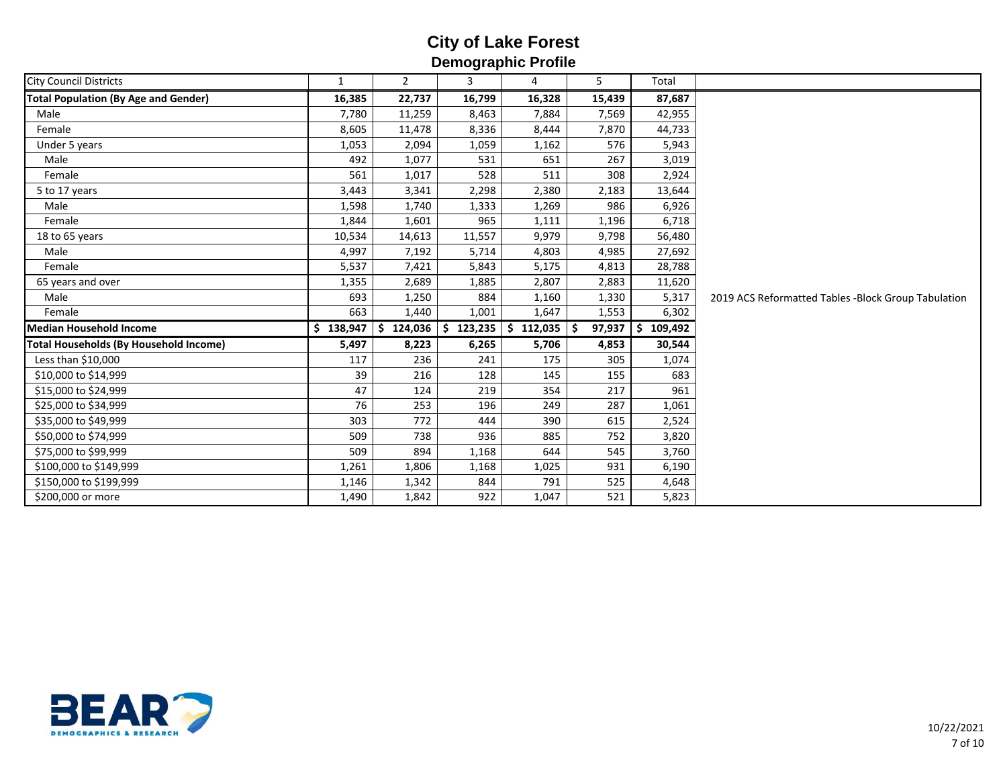|                                               |              |                | - -           |                |              |               |                                                     |
|-----------------------------------------------|--------------|----------------|---------------|----------------|--------------|---------------|-----------------------------------------------------|
| <b>City Council Districts</b>                 | $\mathbf{1}$ | $\overline{2}$ | 3             | 4              | 5            | Total         |                                                     |
| <b>Total Population (By Age and Gender)</b>   | 16,385       | 22,737         | 16,799        | 16,328         | 15,439       | 87,687        |                                                     |
| Male                                          | 7,780        | 11,259         | 8,463         | 7,884          | 7,569        | 42,955        |                                                     |
| Female                                        | 8,605        | 11,478         | 8,336         | 8,444          | 7,870        | 44,733        |                                                     |
| Under 5 years                                 | 1,053        | 2,094          | 1,059         | 1,162          | 576          | 5,943         |                                                     |
| Male                                          | 492          | 1,077          | 531           | 651            | 267          | 3,019         |                                                     |
| Female                                        | 561          | 1,017          | 528           | 511            | 308          | 2,924         |                                                     |
| 5 to 17 years                                 | 3,443        | 3,341          | 2,298         | 2,380          | 2,183        | 13,644        |                                                     |
| Male                                          | 1,598        | 1,740          | 1,333         | 1,269          | 986          | 6,926         |                                                     |
| Female                                        | 1,844        | 1,601          | 965           | 1,111          | 1,196        | 6,718         |                                                     |
| 18 to 65 years                                | 10,534       | 14,613         | 11,557        | 9,979          | 9,798        | 56,480        |                                                     |
| Male                                          | 4,997        | 7,192          | 5,714         | 4,803          | 4,985        | 27,692        |                                                     |
| Female                                        | 5,537        | 7,421          | 5,843         | 5,175          | 4,813        | 28,788        |                                                     |
| 65 years and over                             | 1,355        | 2,689          | 1,885         | 2,807          | 2,883        | 11,620        |                                                     |
| Male                                          | 693          | 1,250          | 884           | 1,160          | 1,330        | 5,317         | 2019 ACS Reformatted Tables -Block Group Tabulation |
| Female                                        | 663          | 1,440          | 1,001         | 1,647          | 1,553        | 6,302         |                                                     |
| Median Household Income                       | \$138,947    | \$<br>124,036  | 123,235<br>Ś. | \$.<br>112,035 | 97,937<br>Ŝ. | 109,492<br>S. |                                                     |
| <b>Total Households (By Household Income)</b> | 5,497        | 8,223          | 6,265         | 5,706          | 4,853        | 30,544        |                                                     |
| Less than \$10,000                            | 117          | 236            | 241           | 175            | 305          | 1,074         |                                                     |
| \$10,000 to \$14,999                          | 39           | 216            | 128           | 145            | 155          | 683           |                                                     |
| \$15,000 to \$24,999                          | 47           | 124            | 219           | 354            | 217          | 961           |                                                     |
| \$25,000 to \$34,999                          | 76           | 253            | 196           | 249            | 287          | 1,061         |                                                     |
| \$35,000 to \$49,999                          | 303          | 772            | 444           | 390            | 615          | 2,524         |                                                     |
| \$50,000 to \$74,999                          | 509          | 738            | 936           | 885            | 752          | 3,820         |                                                     |
| \$75,000 to \$99,999                          | 509          | 894            | 1,168         | 644            | 545          | 3,760         |                                                     |
| \$100,000 to \$149,999                        | 1,261        | 1,806          | 1,168         | 1,025          | 931          | 6,190         |                                                     |
| \$150,000 to \$199,999                        | 1,146        | 1,342          | 844           | 791            | 525          | 4,648         |                                                     |
| \$200,000 or more                             | 1,490        | 1,842          | 922           | 1,047          | 521          | 5,823         |                                                     |

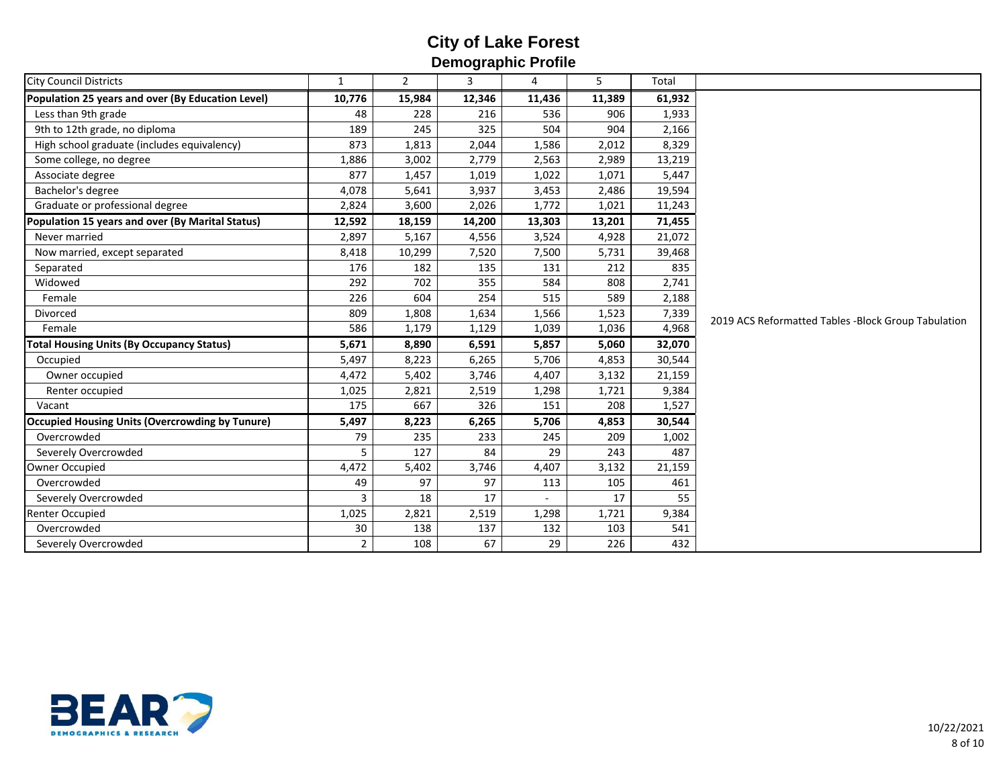| <b>City Council Districts</b>                          | $\mathbf{1}$   | $\overline{2}$ | - -<br>3 | 4      | 5      | Total  |                                                     |
|--------------------------------------------------------|----------------|----------------|----------|--------|--------|--------|-----------------------------------------------------|
| Population 25 years and over (By Education Level)      | 10,776         | 15,984         | 12,346   | 11,436 | 11,389 | 61,932 |                                                     |
| Less than 9th grade                                    | 48             | 228            | 216      | 536    | 906    | 1,933  |                                                     |
| 9th to 12th grade, no diploma                          | 189            | 245            | 325      | 504    | 904    | 2,166  |                                                     |
| High school graduate (includes equivalency)            | 873            | 1,813          | 2,044    | 1,586  | 2,012  | 8,329  |                                                     |
| Some college, no degree                                | 1,886          | 3,002          | 2,779    | 2,563  | 2,989  | 13,219 |                                                     |
| Associate degree                                       | 877            | 1,457          | 1,019    | 1,022  | 1,071  | 5,447  |                                                     |
| Bachelor's degree                                      | 4,078          | 5,641          | 3,937    | 3,453  | 2,486  | 19,594 |                                                     |
| Graduate or professional degree                        | 2,824          | 3,600          | 2,026    | 1,772  | 1,021  | 11,243 |                                                     |
| Population 15 years and over (By Marital Status)       | 12,592         | 18,159         | 14,200   | 13,303 | 13,201 | 71,455 |                                                     |
| Never married                                          | 2,897          | 5,167          | 4,556    | 3,524  | 4,928  | 21,072 |                                                     |
| Now married, except separated                          | 8,418          | 10,299         | 7,520    | 7,500  | 5,731  | 39,468 |                                                     |
| Separated                                              | 176            | 182            | 135      | 131    | 212    | 835    |                                                     |
| Widowed                                                | 292            | 702            | 355      | 584    | 808    | 2,741  | 2019 ACS Reformatted Tables -Block Group Tabulation |
| Female                                                 | 226            | 604            | 254      | 515    | 589    | 2,188  |                                                     |
| Divorced                                               | 809            | 1,808          | 1,634    | 1,566  | 1,523  | 7,339  |                                                     |
| Female                                                 | 586            | 1,179          | 1,129    | 1,039  | 1,036  | 4,968  |                                                     |
| <b>Total Housing Units (By Occupancy Status)</b>       | 5,671          | 8,890          | 6,591    | 5,857  | 5,060  | 32,070 |                                                     |
| Occupied                                               | 5,497          | 8,223          | 6,265    | 5,706  | 4,853  | 30,544 |                                                     |
| Owner occupied                                         | 4,472          | 5,402          | 3,746    | 4,407  | 3,132  | 21,159 |                                                     |
| Renter occupied                                        | 1,025          | 2,821          | 2,519    | 1,298  | 1,721  | 9,384  |                                                     |
| Vacant                                                 | 175            | 667            | 326      | 151    | 208    | 1,527  |                                                     |
| <b>Occupied Housing Units (Overcrowding by Tunure)</b> | 5,497          | 8,223          | 6,265    | 5,706  | 4,853  | 30,544 |                                                     |
| Overcrowded                                            | 79             | 235            | 233      | 245    | 209    | 1,002  |                                                     |
| Severely Overcrowded                                   | 5              | 127            | 84       | 29     | 243    | 487    |                                                     |
| Owner Occupied                                         | 4,472          | 5,402          | 3,746    | 4,407  | 3,132  | 21,159 |                                                     |
| Overcrowded                                            | 49             | 97             | 97       | 113    | 105    | 461    |                                                     |
| Severely Overcrowded                                   | 3              | 18             | 17       |        | 17     | 55     |                                                     |
| <b>Renter Occupied</b>                                 | 1,025          | 2,821          | 2,519    | 1,298  | 1,721  | 9,384  |                                                     |
| Overcrowded                                            | 30             | 138            | 137      | 132    | 103    | 541    |                                                     |
| Severely Overcrowded                                   | $\overline{2}$ | 108            | 67       | 29     | 226    | 432    |                                                     |

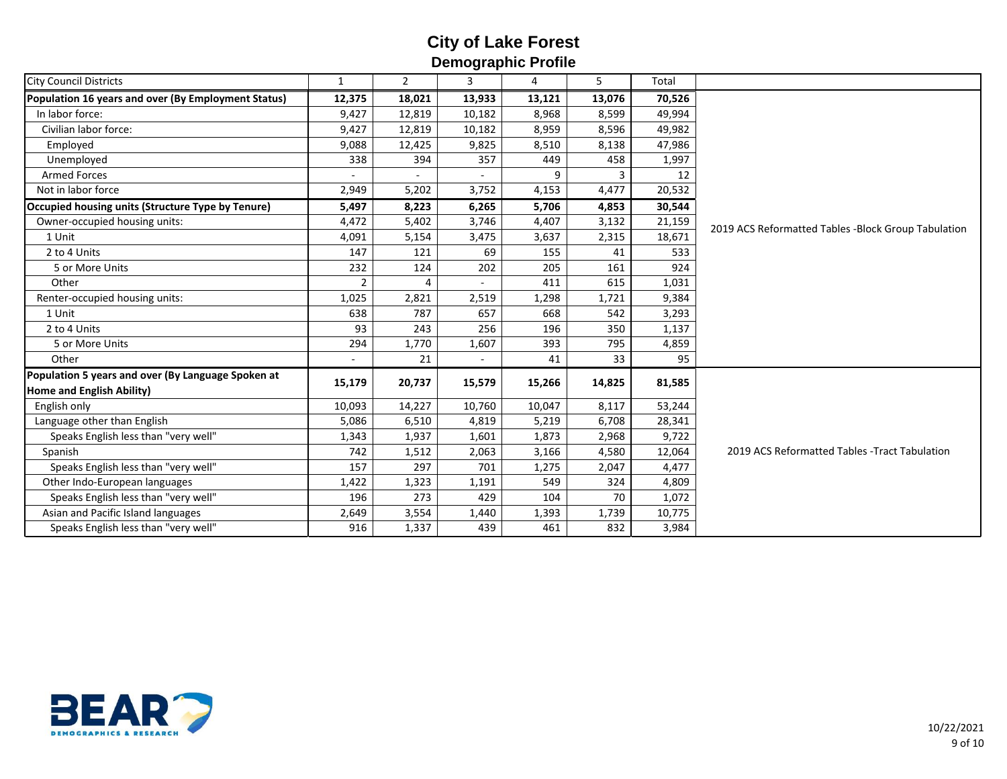| <b>City Council Districts</b>                       | $\mathbf{1}$   | $\overline{2}$ | - -<br>3 | 4      | 5      | Total  |                                                     |
|-----------------------------------------------------|----------------|----------------|----------|--------|--------|--------|-----------------------------------------------------|
| Population 16 years and over (By Employment Status) | 12,375         | 18,021         | 13,933   | 13,121 | 13,076 | 70,526 |                                                     |
| In labor force:                                     | 9,427          | 12,819         | 10,182   | 8,968  | 8,599  | 49,994 |                                                     |
| Civilian labor force:                               | 9,427          | 12,819         | 10,182   | 8,959  | 8,596  | 49,982 |                                                     |
| Employed                                            | 9,088          | 12,425         | 9,825    | 8,510  | 8,138  | 47,986 |                                                     |
| Unemployed                                          | 338            | 394            | 357      | 449    | 458    | 1,997  |                                                     |
| <b>Armed Forces</b>                                 |                |                |          |        | 3      | 12     |                                                     |
| Not in labor force                                  | 2,949          | 5,202          | 3,752    | 4,153  | 4,477  | 20,532 |                                                     |
| Occupied housing units (Structure Type by Tenure)   | 5,497          | 8,223          | 6,265    | 5,706  | 4,853  | 30,544 |                                                     |
| Owner-occupied housing units:                       | 4,472          | 5,402          | 3,746    | 4,407  | 3,132  | 21,159 | 2019 ACS Reformatted Tables -Block Group Tabulation |
| 1 Unit                                              | 4,091          | 5,154          | 3,475    | 3,637  | 2,315  | 18,671 |                                                     |
| 2 to 4 Units                                        | 147            | 121            | 69       | 155    | 41     | 533    |                                                     |
| 5 or More Units                                     | 232            | 124            | 202      | 205    | 161    | 924    |                                                     |
| Other                                               | $\overline{2}$ | 4              |          | 411    | 615    | 1,031  |                                                     |
| Renter-occupied housing units:                      | 1,025          | 2,821          | 2,519    | 1,298  | 1,721  | 9,384  |                                                     |
| 1 Unit                                              | 638            | 787            | 657      | 668    | 542    | 3,293  |                                                     |
| 2 to 4 Units                                        | 93             | 243            | 256      | 196    | 350    | 1,137  |                                                     |
| 5 or More Units                                     | 294            | 1,770          | 1,607    | 393    | 795    | 4,859  |                                                     |
| Other                                               |                | 21             |          | 41     | 33     | 95     |                                                     |
| Population 5 years and over (By Language Spoken at  | 15,179         | 20,737         | 15,579   | 15,266 | 14,825 | 81,585 |                                                     |
| Home and English Ability)                           |                |                |          |        |        |        |                                                     |
| English only                                        | 10,093         | 14,227         | 10,760   | 10,047 | 8,117  | 53,244 |                                                     |
| Language other than English                         | 5,086          | 6,510          | 4,819    | 5,219  | 6,708  | 28,341 |                                                     |
| Speaks English less than "very well"                | 1,343          | 1,937          | 1,601    | 1,873  | 2,968  | 9,722  | 2019 ACS Reformatted Tables - Tract Tabulation      |
| Spanish                                             | 742            | 1,512          | 2,063    | 3,166  | 4,580  | 12,064 |                                                     |
| Speaks English less than "very well"                | 157            | 297            | 701      | 1,275  | 2,047  | 4,477  |                                                     |
| Other Indo-European languages                       | 1,422          | 1,323          | 1,191    | 549    | 324    | 4,809  |                                                     |
| Speaks English less than "very well"                | 196            | 273            | 429      | 104    | 70     | 1,072  |                                                     |
| Asian and Pacific Island languages                  | 2,649          | 3,554          | 1,440    | 1,393  | 1,739  | 10,775 |                                                     |
| Speaks English less than "very well"                | 916            | 1,337          | 439      | 461    | 832    | 3,984  |                                                     |